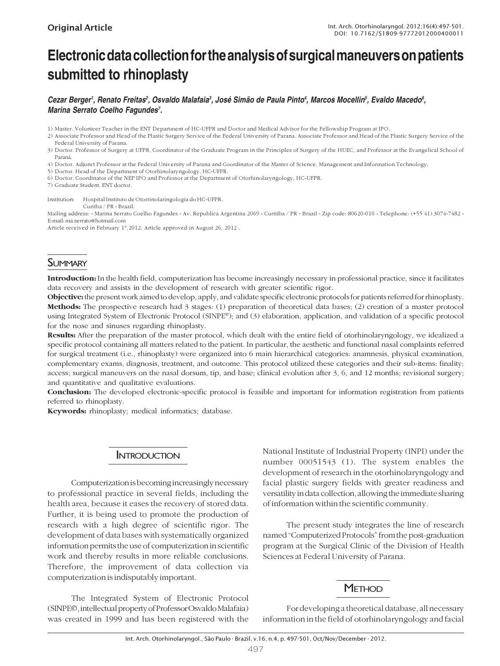# **Electronic data collection for the analysis of surgical maneuvers on patients submitted to rhinoplasty**

Cezar Berger<sup>ı</sup>, Renato Freitas<sup>2</sup>, Osvaldo Malafaia<sup>3</sup>, José Simão de Paula Pinto<sup>4</sup>, Marcos Mocellin<sup>5</sup>, Evaldo Macedo<sup>6</sup>, *Marina Serrato Coelho Fagundes7 .*

1) Master. Volunteer Teacher in the ENT Department of HC-UFPR and Doctor and Medical Advisor for the Fellowship Program at IPO.

2) Associate Professor and Head of the Plastic Surgery Service of the Federal University of Parana. Associate Professor and Head of the Plastic Surgery Service of the Federal University of Parana.

3) Doctor. Professor of Surgery at UFPR, Coordinator of the Graduate Program in the Principles of Surgery of the HUEC, and Professor at the Evangelical School of Paraná.

4) Doctor. Adjunct Professor at the Federal University of Parana and Coordinator of the Master of Science, Management and Information Technology.

5) Doctor. Head of the Department of Otorhinolaryngology, HC-UFPR.

6) Doctor. Coordinator of the NEP IPO and Professor at the Department of Otorhinolaryngology, HC-UFPR.

7) Graduate Student. ENT doctor.

Institution: Hospital Instituto de Otorrinolaringologia do HC-UFPR. Curitba / PR - Brazil.

Mailing address: - Marina Serrato Coelho Fagundes - Av. Republica Argentina 2069 - Curitiba / PR - Brazil - Zip code: 80620-010 - Telephone: (+55 41) 3074-7482 - E-mail: ma.serrato@hotmail.com

Article received in February 1st, 2012. Article approved in August 26, 2012.

# **SUMMARY**

Introduction: In the health field, computerization has become increasingly necessary in professional practice, since it facilitates data recovery and assists in the development of research with greater scientific rigor.

Objective: the present work aimed to develop, apply, and validate specific electronic protocols for patients referred for rhinoplasty. Methods: The prospective research had 3 stages: (1) preparation of theoretical data bases; (2) creation of a master protocol using Integrated System of Electronic Protocol (SINPE©); and (3) elaboration, application, and validation of a specific protocol for the nose and sinuses regarding rhinoplasty.

Results: After the preparation of the master protocol, which dealt with the entire field of otorhinolaryngology, we idealized a specific protocol containing all matters related to the patient. In particular, the aesthetic and functional nasal complaints referred for surgical treatment (i.e., rhinoplasty) were organized into 6 main hierarchical categories: anamnesis, physical examination, complementary exams, diagnosis, treatment, and outcome. This protocol utilized these categories and their sub-items: finality; access; surgical maneuvers on the nasal dorsum, tip, and base; clinical evolution after 3, 6, and 12 months; revisional surgery; and quantitative and qualitative evaluations.

Conclusion: The developed electronic-specific protocol is feasible and important for information registration from patients referred to rhinoplasty.

Keywords: rhinoplasty; medical informatics; database.

## **INTRODUCTION**

Computerization is becoming increasingly necessary to professional practice in several fields, including the health area, because it eases the recovery of stored data. Further, it is being used to promote the production of research with a high degree of scientific rigor. The development of data bases with systematically organized information permits the use of computerization in scientific work and thereby results in more reliable conclusions. Therefore, the improvement of data collection via computerization is indisputably important.

The Integrated System of Electronic Protocol (SINPE©, intellectual property of Professor Osvaldo Malafaia) was created in 1999 and has been registered with the

National Institute of Industrial Property (INPI) under the number 00051543 (1). The system enables the development of research in the otorhinolaryngology and facial plastic surgery fields with greater readiness and versatility in data collection, allowing the immediate sharing of information within the scientific community.

The present study integrates the line of research named "Computerized Protocols" from the post-graduation program at the Surgical Clinic of the Division of Health Sciences at Federal University of Parana.

## **METHOD**

For developing a theoretical database, all necessary information in the field of otorhinolaryngology and facial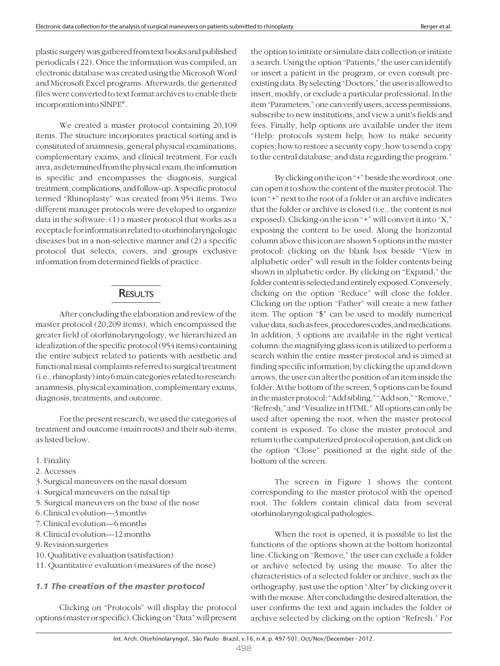plastic surgery was gathered from text books and published periodicals (22). Once the information was compiled, an electronic database was created using the Microsoft Word and Microsoft Excel programs. Afterwards, the generated files were converted to text format archives to enable their incorporation into SINPE©.

We created a master protocol containing 20,109 items. The structure incorporates practical sorting and is constituted of anamnesis, general physical examinations, complementary exams, and clinical treatment. For each area, as determined from the physical exam, the information is specific and encompasses the diagnosis, surgical treatment, complications, and follow-up. A specific protocol termed "Rhinoplasty" was created from 954 items. Two different manager protocols were developed to organize data in the software: (1) a master protocol that works as a receptacle for information related to otorhinolaryngologic diseases but in a non-selective manner and (2) a specific protocol that selects, covers, and groups exclusive information from determined fields of practice.

# **RESULTS**

After concluding the elaboration and review of the master protocol (20,209 items), which encompassed the greater field of otorhinolaryngology, we hierarchized an idealization of the specific protocol (954 items) containing the entire subject related to patients with aesthetic and functional nasal complaints referred to surgical treatment (i.e., rhinoplasty) into 6 main categories related to research: anamnesis, physical examination, complementary exams, diagnosis, treatments, and outcome.

For the present research, we used the categories of treatment and outcome (main roots) and their sub-items, as listed below.

- 1. Finality
- 2. Accesses
- 3. Surgical maneuvers on the nasal dorsum
- 4. Surgical maneuvers on the nasal tip
- 5. Surgical maneuvers on the base of the nose
- 6. Clinical evolution—3 months
- 7. Clinical evolution—6 months
- 8. Clinical evolution—12 months
- 9. Revision surgeries
- 10. Qualitative evaluation (satisfaction)
- 11. Quantitative evaluation (measures of the nose)

#### 1.1 The creation of the master protocol

Clicking on "Protocols" will display the protocol options (master or specific). Clicking on "Data" will present the option to initiate or simulate data collection or initiate a search. Using the option "Patients," the user can identify or insert a patient in the program, or even consult preexisting data. By selecting "Doctors," the user is allowed to insert, modify, or exclude a particular professional. In the item "Parameters," one can verify users, access permissions, subscribe to new institutions, and view a unit's fields and fees. Finally, help options are available under the item "Help: protocols system help; how to make security copies; how to restore a security copy; how to send a copy to the central database; and data regarding the program."

By clicking on the icon "+" beside the word root, one can open it to show the content of the master protocol. The icon "+" next to the root of a folder or an archive indicates that the folder or archive is closed (i.e., the content is not exposed). Clicking on the icon "+" will convert it into "X," exposing the content to be used. Along the horizontal column above this icon are shown 5 options in the master protocol: clicking on the blank box beside "View in alphabetic order" will result in the folder contents being shown in alphabetic order. By clicking on "Expand," the folder content is selected and entirely exposed. Conversely, clicking on the option "Reduce" will close the folder. Clicking on the option "Father" will create a new father item. The option "\$" can be used to modify numerical value data, such as fees, procedures codes, and medications. In addition, 3 options are available in the right vertical column: the magnifying glass icon is utilized to perform a search within the entire master protocol and is aimed at finding specific information; by clicking the up and down arrows, the user can alter the position of an item inside the folder. At the bottom of the screen, 5 options can be found in the master protocol: "Add sibling," "Add son," "Remove," "Refresh," and "Visualize in HTML." All options can only be used after opening the root, when the master protocol content is exposed. To close the master protocol and return to the computerized protocol operation, just click on the option "Close" positioned at the right side of the bottom of the screen.

The screen in Figure 1 shows the content corresponding to the master protocol with the opened root. The folders contain clinical data from several otorhinolaryngological pathologies.

When the root is opened, it is possible to list the functions of the options shown at the bottom horizontal line. Clicking on "Remove," the user can exclude a folder or archive selected by using the mouse. To alter the characteristics of a selected folder or archive, such as the orthography, just use the option "Alter" by clicking over it with the mouse. After concluding the desired alteration, the user confirms the text and again includes the folder or archive selected by clicking on the option "Refresh." For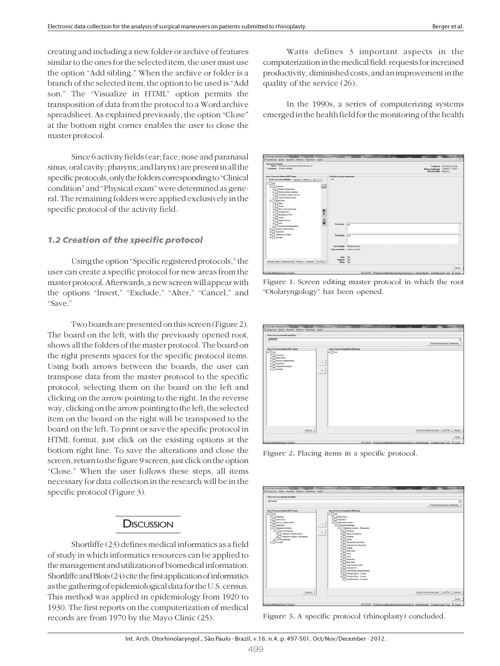creating and including a new folder or archive of features similar to the ones for the selected item, the user must use the option "Add sibling." When the archive or folder is a branch of the selected item, the option to be used is "Add son." The "Visualize in HTML" option permits the transposition of data from the protocol to a Word archive spreadsheet. As explained previously, the option "Close" at the bottom right corner enables the user to close the master protocol.

Since 6 activity fields (ear; face; nose and paranasal sinus; oral cavity; pharynx; and larynx) are present in all the specific protocols, only the folders corresponding to "Clinical condition" and "Physical exam" were determined as general. The remaining folders were applied exclusively in the specific protocol of the activity field.

### 1.2 Creation of the specific protocol

Using the option "Specific registered protocols," the user can create a specific protocol for new areas from the master protocol. Afterwards, a new screen will appear with the options "Insert," "Exclude," "Alter," "Cancel," and "Save."

Two boards are presented on this screen (Figure 2). The board on the left, with the previously opened root, shows all the folders of the master protocol. The board on the right presents spaces for the specific protocol items. Using both arrows between the boards, the user can transpose data from the master protocol to the specific protocol, selecting them on the board on the left and clicking on the arrow pointing to the right. In the reverse way, clicking on the arrow pointing to the left, the selected item on the board on the right will be transposed to the board on the left. To print or save the specific protocol in HTML format, just click on the existing options at the bottom right line. To save the alterations and close the screen, return to the figure 9 screen, just click on the option "Close." When the user follows these steps, all items necessary for data collection in the research will be in the specific protocol (Figure 3).

## **DISCUSSION**

Shortliffe (23) defines medical informatics as a field of study in which informatics resources can be applied to the management and utilization of biomedical information. Shortliffe and Blois (24) cite the first application of informatics as the gathering of epidemiological data for the U.S. census. This method was applied in epidemiology from 1920 to 1930. The first reports on the computerization of medical records are from 1970 by the Mayo Clinic (25).

Watts defines 3 important aspects in the computerization in the medical field: requests for increased productivity, diminished costs, and an improvement in the quality of the service (26).

In the 1990s, a series of computerizing systems emerged in the health field for the monitoring of the health





| Selecione um protocolo específico                                                                                                                                |                                             |                                                               |
|------------------------------------------------------------------------------------------------------------------------------------------------------------------|---------------------------------------------|---------------------------------------------------------------|
| <b>Pinoplastia</b>                                                                                                                                               |                                             |                                                               |
|                                                                                                                                                                  |                                             | Protocolos Específicos Cadastrados                            |
| B- <sup>noot</sup><br><b>B</b> Anamoese<br>$\bigoplus$ Exame físico<br><b>Bames</b> complementares<br><b>B</b> Diagnóstico<br>E Tratamento Conduta<br>B Evolupão | <b>B-</b> mot<br>$\rightarrow$<br>$q-$<br>- |                                                               |
|                                                                                                                                                                  |                                             |                                                               |
| Atadizar                                                                                                                                                         |                                             | Imprimir formulário de coleta Ver HTML<br>Atualizar<br>Fechar |

Figure 2. Placing items in a specific protocol.

| Selecione um protocolo específico                                                                                                                                                                                                                           |                                                                                                                                                                                                                                                                                                                                                                                                                                                                                                                                                                                                                                                                                       |                                                     |
|-------------------------------------------------------------------------------------------------------------------------------------------------------------------------------------------------------------------------------------------------------------|---------------------------------------------------------------------------------------------------------------------------------------------------------------------------------------------------------------------------------------------------------------------------------------------------------------------------------------------------------------------------------------------------------------------------------------------------------------------------------------------------------------------------------------------------------------------------------------------------------------------------------------------------------------------------------------|-----------------------------------------------------|
| Rinoplastia                                                                                                                                                                                                                                                 |                                                                                                                                                                                                                                                                                                                                                                                                                                                                                                                                                                                                                                                                                       | Protocolos Específicos Cadastrados                  |
| Items Protocolo Mestre (20211 item)                                                                                                                                                                                                                         | Itens Protocolo Especifico (356 itens)                                                                                                                                                                                                                                                                                                                                                                                                                                                                                                                                                                                                                                                |                                                     |
| B- <sup>noot</sup><br>B Anamoese<br>Brame fisico<br>ED Exames complementares<br>B- Diagnóstico<br>E Tratamento/Conduta<br>R-Opendampsion<br>St. Tratamento medicamentoso<br>Ri-Tratamento cirúrgico - (Rinoplastia)<br><b>B</b> Fonoaudologia<br>B Evolução | <b>B-</b> oot<br><b>B</b> Exame físico<br>B Diagnóstico<br>B- Tratamento/Conduta<br>$\rightarrow$<br><b>B-C</b> Otomolamgologia<br>FLOT Tratamento cirúrgico - (Rinoplastia)<br>$\overline{\mathfrak{m}}$ <b>Finaldade</b><br>$\epsilon-$<br>si <sup>1</sup> Otimo procedimento<br>Anestesia<br>南<br>Acesso<br>麻<br>Septeplestia (associada)<br>Fix Turbinectonia (associada)<br>$\Box$ Incisões<br>南<br>Reducesal<br>ŵ.<br><b>B</b> Dono<br>Porta<br>sis.<br>Osteotonia<br>麻<br>in Base nasal<br>Si Tanponamento nasal<br>Condutas P.O.<br>sh-<br>St. Complicações (Inoseptoplastia)<br>si: Brolução círica - 3 meses<br>si: Brolugão círica - 6 neses<br>Evolução címica - 12 meses |                                                     |
| Atualizar                                                                                                                                                                                                                                                   |                                                                                                                                                                                                                                                                                                                                                                                                                                                                                                                                                                                                                                                                                       | Imprimir formulário de coleta Ver HTML<br>Atualizar |

Figure 3. A specific protocol (rhinoplasty) concluded.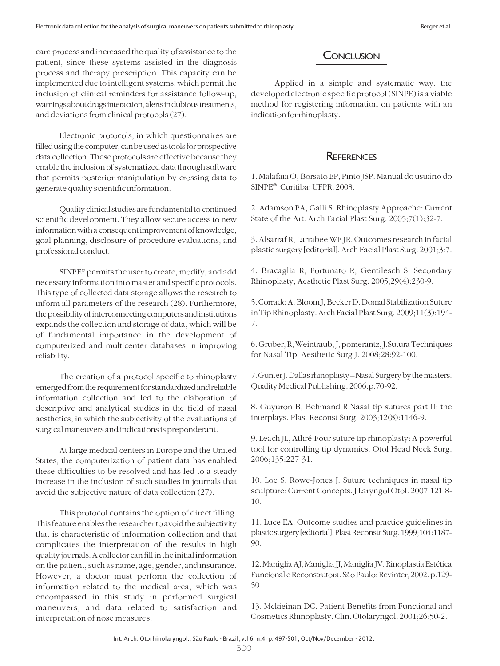care process and increased the quality of assistance to the patient, since these systems assisted in the diagnosis process and therapy prescription. This capacity can be implemented due to intelligent systems, which permit the inclusion of clinical reminders for assistance follow-up, warnings about drugs interaction, alerts in dubious treatments, and deviations from clinical protocols (27).

Electronic protocols, in which questionnaires are filled using the computer, can be used as tools for prospective data collection. These protocols are effective because they enable the inclusion of systematized data through software that permits posterior manipulation by crossing data to generate quality scientific information.

Quality clinical studies are fundamental to continued scientific development. They allow secure access to new information with a consequent improvement of knowledge, goal planning, disclosure of procedure evaluations, and professional conduct.

SINPE© permits the user to create, modify, and add necessary information into master and specific protocols. This type of collected data storage allows the research to inform all parameters of the research (28). Furthermore, the possibility of interconnecting computers and institutions expands the collection and storage of data, which will be of fundamental importance in the development of computerized and multicenter databases in improving reliability.

The creation of a protocol specific to rhinoplasty emerged from the requirement for standardized and reliable information collection and led to the elaboration of descriptive and analytical studies in the field of nasal aesthetics, in which the subjectivity of the evaluations of surgical maneuvers and indications is preponderant.

At large medical centers in Europe and the United States, the computerization of patient data has enabled these difficulties to be resolved and has led to a steady increase in the inclusion of such studies in journals that avoid the subjective nature of data collection (27).

This protocol contains the option of direct filling. This feature enables the researcher to avoid the subjectivity that is characteristic of information collection and that complicates the interpretation of the results in high quality journals. A collector can fill in the initial information on the patient, such as name, age, gender, and insurance. However, a doctor must perform the collection of information related to the medical area, which was encompassed in this study in performed surgical maneuvers, and data related to satisfaction and interpretation of nose measures.

# **CONCLUSION**

Applied in a simple and systematic way, the developed electronic specific protocol (SINPE) is a viable method for registering information on patients with an indication for rhinoplasty.

# **REFERENCES**

1. Malafaia O, Borsato EP, Pinto JSP. Manual do usuário do SINPE©. Curitiba: UFPR, 2003.

2. Adamson PA, Galli S. Rhinoplasty Approache: Current State of the Art. Arch Facial Plast Surg. 2005;7(1):32-7.

3. Alsarraf R, Larrabee WF JR. Outcomes research in facial plastic surgery [editorial]. Arch Facial Plast Surg. 2001;3:7.

4. Bracaglia R, Fortunato R, Gentilesch S. Secondary Rhinoplasty, Aesthetic Plast Surg. 2005;29(4):230-9.

5. Corrado A, Bloom J, Becker D. Domal Stabilization Suture in Tip Rhinoplasty. Arch Facial Plast Surg. 2009;11(3):194- 7.

6. Gruber, R, Weintraub, J, pomerantz, J.Sutura Techniques for Nasal Tip. Aesthetic Surg J. 2008;28:92-100.

7. Gunter J. Dallas rhinoplasty – Nasal Surgery by the masters. Quality Medical Publishing. 2006.p.70-92.

8. Guyuron B, Behmand R.Nasal tip sutures part II: the interplays. Plast Reconst Surg. 2003;12(8):1146-9.

9. Leach JL, Athré.Four suture tip rhinoplasty: A powerful tool for controlling tip dynamics. Otol Head Neck Surg. 2006;135:227-31.

10. Loe S, Rowe-Jones J. Suture techniques in nasal tip sculpture: Current Concepts. J Laryngol Otol. 2007;121:8- 10.

11. Luce EA. Outcome studies and practice guidelines in plastic surgery [editorial]. Plast Reconstr Surg. 1999;104:1187- 90.

12. Maniglia AJ, Maniglia JJ, Maniglia JV. Rinoplastia Estética Funcional e Reconstrutora. São Paulo: Revinter, 2002. p.129- 50.

13. Mckieinan DC. Patient Benefits from Functional and Cosmetics Rhinoplasty. Clin. Otolaryngol. 2001;26:50-2.